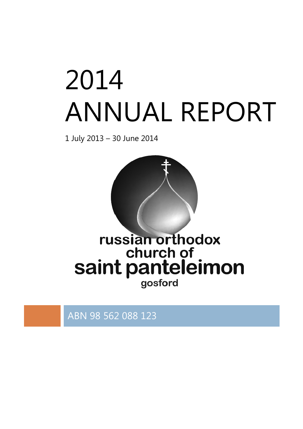# 2014 ANNUAL REPORT

1 July 2013 – 30 June 2014



# russian orthodox saint panteleimon gosford

ABN 98 562 088 123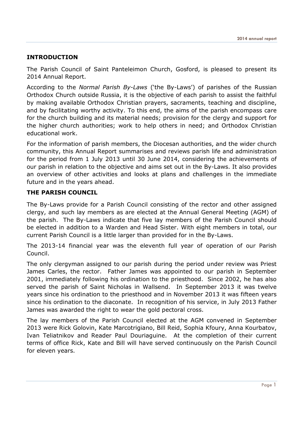# INTRODUCTION

The Parish Council of Saint Panteleimon Church, Gosford, is pleased to present its 2014 Annual Report.

According to the Normal Parish By-Laws ('the By-Laws') of parishes of the Russian Orthodox Church outside Russia, it is the objective of each parish to assist the faithful by making available Orthodox Christian prayers, sacraments, teaching and discipline, and by facilitating worthy activity. To this end, the aims of the parish encompass care for the church building and its material needs; provision for the clergy and support for the higher church authorities; work to help others in need; and Orthodox Christian educational work.

For the information of parish members, the Diocesan authorities, and the wider church community, this Annual Report summarises and reviews parish life and administration for the period from 1 July 2013 until 30 June 2014, considering the achievements of our parish in relation to the objective and aims set out in the By-Laws. It also provides an overview of other activities and looks at plans and challenges in the immediate future and in the years ahead.

# THE PARISH COUNCIL

The By-Laws provide for a Parish Council consisting of the rector and other assigned clergy, and such lay members as are elected at the Annual General Meeting (AGM) of the parish. The By-Laws indicate that five lay members of the Parish Council should be elected in addition to a Warden and Head Sister. With eight members in total, our current Parish Council is a little larger than provided for in the By-Laws.

The 2013-14 financial year was the eleventh full year of operation of our Parish Council.

The only clergyman assigned to our parish during the period under review was Priest James Carles, the rector. Father James was appointed to our parish in September 2001, immediately following his ordination to the priesthood. Since 2002, he has also served the parish of Saint Nicholas in Wallsend. In September 2013 it was twelve years since his ordination to the priesthood and in November 2013 it was fifteen years since his ordination to the diaconate. In recognition of his service, in July 2013 Father James was awarded the right to wear the gold pectoral cross.

The lay members of the Parish Council elected at the AGM convened in September 2013 were Rick Golovin, Kate Marcotrigiano, Bill Reid, Sophia Kfoury, Anna Kourbatov, Ivan Teliatnikov and Reader Paul Douriaguine. At the completion of their current terms of office Rick, Kate and Bill will have served continuously on the Parish Council for eleven years.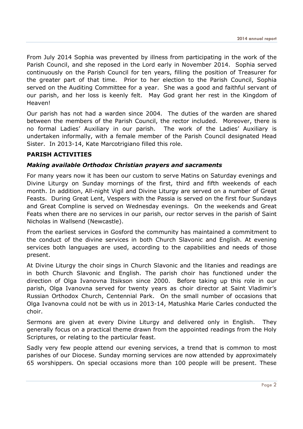From July 2014 Sophia was prevented by illness from participating in the work of the Parish Council, and she reposed in the Lord early in November 2014. Sophia served continuously on the Parish Council for ten years, filling the position of Treasurer for the greater part of that time. Prior to her election to the Parish Council, Sophia served on the Auditing Committee for a year. She was a good and faithful servant of our parish, and her loss is keenly felt. May God grant her rest in the Kingdom of Heaven!

Our parish has not had a warden since 2004. The duties of the warden are shared between the members of the Parish Council, the rector included. Moreover, there is no formal Ladies' Auxiliary in our parish. The work of the Ladies' Auxiliary is undertaken informally, with a female member of the Parish Council designated Head Sister. In 2013-14, Kate Marcotrigiano filled this role.

# PARISH ACTIVITIES

### Making available Orthodox Christian prayers and sacraments

For many years now it has been our custom to serve Matins on Saturday evenings and Divine Liturgy on Sunday mornings of the first, third and fifth weekends of each month. In addition, All-night Vigil and Divine Liturgy are served on a number of Great Feasts. During Great Lent, Vespers with the Passia is served on the first four Sundays and Great Compline is served on Wednesday evenings. On the weekends and Great Feats when there are no services in our parish, our rector serves in the parish of Saint Nicholas in Wallsend (Newcastle).

From the earliest services in Gosford the community has maintained a commitment to the conduct of the divine services in both Church Slavonic and English. At evening services both languages are used, according to the capabilities and needs of those present.

At Divine Liturgy the choir sings in Church Slavonic and the litanies and readings are in both Church Slavonic and English. The parish choir has functioned under the direction of Olga Ivanovna Itsikson since 2000. Before taking up this role in our parish, Olga Ivanovna served for twenty years as choir director at Saint Vladimir's Russian Orthodox Church, Centennial Park. On the small number of occasions that Olga Ivanovna could not be with us in 2013-14, Matushka Marie Carles conducted the choir.

Sermons are given at every Divine Liturgy and delivered only in English. They generally focus on a practical theme drawn from the appointed readings from the Holy Scriptures, or relating to the particular feast.

Sadly very few people attend our evening services, a trend that is common to most parishes of our Diocese. Sunday morning services are now attended by approximately 65 worshippers. On special occasions more than 100 people will be present. These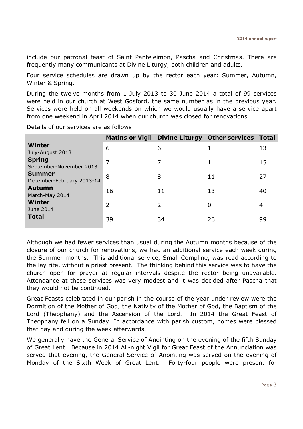include our patronal feast of Saint Panteleimon, Pascha and Christmas. There are frequently many communicants at Divine Liturgy, both children and adults.

Four service schedules are drawn up by the rector each year: Summer, Autumn, Winter & Spring.

During the twelve months from 1 July 2013 to 30 June 2014 a total of 99 services were held in our church at West Gosford, the same number as in the previous year. Services were held on all weekends on which we would usually have a service apart from one weekend in April 2014 when our church was closed for renovations.

Details of our services are as follows:

|                                            |                |                | Matins or Vigil Divine Liturgy Other services Total |    |
|--------------------------------------------|----------------|----------------|-----------------------------------------------------|----|
| <b>Winter</b><br>July-August 2013          | 6              | 6              |                                                     | 13 |
| <b>Spring</b><br>September-November 2013   | 7              |                | 1                                                   | 15 |
| <b>Summer</b><br>December-February 2013-14 | 8              | 8              | 11                                                  | 27 |
| <b>Autumn</b><br>March-May 2014            | 16             | 11             | 13                                                  | 40 |
| <b>Winter</b><br>June 2014                 | $\overline{2}$ | $\overline{2}$ | 0                                                   | 4  |
| <b>Total</b>                               | 39             | 34             | 26                                                  | 99 |

Although we had fewer services than usual during the Autumn months because of the closure of our church for renovations, we had an additional service each week during the Summer months. This additional service, Small Compline, was read according to the lay rite, without a priest present. The thinking behind this service was to have the church open for prayer at regular intervals despite the rector being unavailable. Attendance at these services was very modest and it was decided after Pascha that they would not be continued.

Great Feasts celebrated in our parish in the course of the year under review were the Dormition of the Mother of God, the Nativity of the Mother of God, the Baptism of the Lord (Theophany) and the Ascension of the Lord. In 2014 the Great Feast of Theophany fell on a Sunday. In accordance with parish custom, homes were blessed that day and during the week afterwards.

We generally have the General Service of Anointing on the evening of the fifth Sunday of Great Lent. Because in 2014 All-night Vigil for Great Feast of the Annunciation was served that evening, the General Service of Anointing was served on the evening of Monday of the Sixth Week of Great Lent. Forty-four people were present for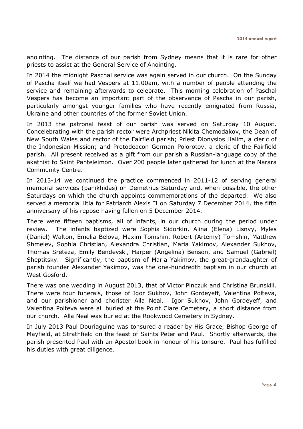anointing. The distance of our parish from Sydney means that it is rare for other priests to assist at the General Service of Anointing.

In 2014 the midnight Paschal service was again served in our church. On the Sunday of Pascha itself we had Vespers at 11.00am, with a number of people attending the service and remaining afterwards to celebrate. This morning celebration of Paschal Vespers has become an important part of the observance of Pascha in our parish, particularly amongst younger families who have recently emigrated from Russia, Ukraine and other countries of the former Soviet Union.

In 2013 the patronal feast of our parish was served on Saturday 10 August. Concelebrating with the parish rector were Archpriest Nikita Chemodakov, the Dean of New South Wales and rector of the Fairfield parish; Priest Dionysios Halim, a cleric of the Indonesian Mission; and Protodeacon German Polorotov, a cleric of the Fairfield parish. All present received as a gift from our parish a Russian-language copy of the akathist to Saint Panteleimon. Over 200 people later gathered for lunch at the Narara Community Centre.

In 2013-14 we continued the practice commenced in 2011-12 of serving general memorial services (panikhidas) on Demetrius Saturday and, when possible, the other Saturdays on which the church appoints commemorations of the departed. We also served a memorial litia for Patriarch Alexis II on Saturday 7 December 2014, the fifth anniversary of his repose having fallen on 5 December 2014.

There were fifteen baptisms, all of infants, in our church during the period under review. The infants baptized were Sophia Sidorkin, Alina (Elena) Lisnyy, Myles (Daniel) Walton, Emelia Belova, Maxim Tomshin, Robert (Artemy) Tomshin, Matthew Shmelev, Sophia Christian, Alexandra Christian, Maria Yakimov, Alexander Sukhov, Thomas Sreteza, Emily Bendevski, Harper (Angelina) Benson, and Samuel (Gabriel) Sheptitsky. Significantly, the baptism of Maria Yakimov, the great-grandaughter of parish founder Alexander Yakimov, was the one-hundredth baptism in our church at West Gosford.

There was one wedding in August 2013, that of Victor Pinczuk and Christina Brunskill. There were four funerals, those of Igor Sukhov, John Gordeyeff, Valentina Polteva, and our parishioner and chorister Alla Neal. Igor Sukhov, John Gordeyeff, and Valentina Polteva were all buried at the Point Clare Cemetery, a short distance from our church. Alla Neal was buried at the Rookwood Cemetery in Sydney.

In July 2013 Paul Douriaguine was tonsured a reader by His Grace, Bishop George of Mayfield, at Strathfield on the feast of Saints Peter and Paul. Shortly afterwards, the parish presented Paul with an Apostol book in honour of his tonsure. Paul has fulfilled his duties with great diligence.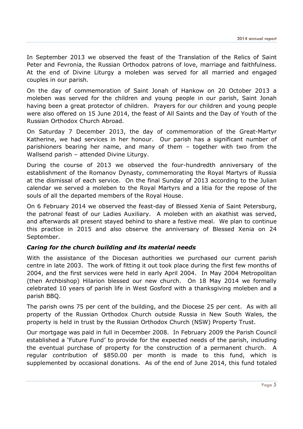In September 2013 we observed the feast of the Translation of the Relics of Saint Peter and Fevronia, the Russian Orthodox patrons of love, marriage and faithfulness. At the end of Divine Liturgy a moleben was served for all married and engaged couples in our parish.

On the day of commemoration of Saint Jonah of Hankow on 20 October 2013 a moleben was served for the children and young people in our parish, Saint Jonah having been a great protector of children. Prayers for our children and young people were also offered on 15 June 2014, the feast of All Saints and the Day of Youth of the Russian Orthodox Church Abroad.

On Saturday 7 December 2013, the day of commemoration of the Great-Martyr Katherine, we had services in her honour. Our parish has a significant number of parishioners bearing her name, and many of them – together with two from the Wallsend parish – attended Divine Liturgy.

During the course of 2013 we observed the four-hundredth anniversary of the establishment of the Romanov Dynasty, commemorating the Royal Martyrs of Russia at the dismissal of each service. On the final Sunday of 2013 according to the Julian calendar we served a moleben to the Royal Martyrs and a litia for the repose of the souls of all the departed members of the Royal House.

On 6 February 2014 we observed the feast-day of Blessed Xenia of Saint Petersburg, the patronal feast of our Ladies Auxiliary. A moleben with an akathist was served, and afterwards all present stayed behind to share a festive meal. We plan to continue this practice in 2015 and also observe the anniversary of Blessed Xenia on 24 September.

# Caring for the church building and its material needs

With the assistance of the Diocesan authorities we purchased our current parish centre in late 2003. The work of fitting it out took place during the first few months of 2004, and the first services were held in early April 2004. In May 2004 Metropolitan (then Archbishop) Hilarion blessed our new church. On 18 May 2014 we formally celebrated 10 years of parish life in West Gosford with a thanksgiving moleben and a parish BBQ.

The parish owns 75 per cent of the building, and the Diocese 25 per cent. As with all property of the Russian Orthodox Church outside Russia in New South Wales, the property is held in trust by the Russian Orthodox Church (NSW) Property Trust.

Our mortgage was paid in full in December 2008. In February 2009 the Parish Council established a 'Future Fund' to provide for the expected needs of the parish, including the eventual purchase of property for the construction of a permanent church. A regular contribution of \$850.00 per month is made to this fund, which is supplemented by occasional donations. As of the end of June 2014, this fund totaled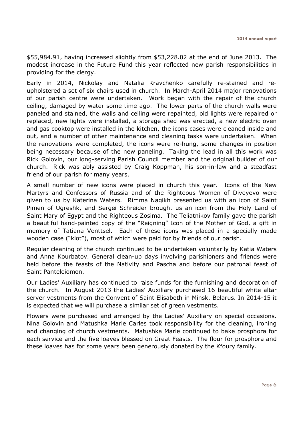\$55,984.91, having increased slightly from \$53,228.02 at the end of June 2013. The modest increase in the Future Fund this year reflected new parish responsibilities in providing for the clergy.

Early in 2014, Nickolay and Natalia Kravchenko carefully re-stained and reupholstered a set of six chairs used in church. In March-April 2014 major renovations of our parish centre were undertaken. Work began with the repair of the church ceiling, damaged by water some time ago. The lower parts of the church walls were paneled and stained, the walls and ceiling were repainted, old lights were repaired or replaced, new lights were installed, a storage shed was erected, a new electric oven and gas cooktop were installed in the kitchen, the icons cases were cleaned inside and out, and a number of other maintenance and cleaning tasks were undertaken. When the renovations were completed, the icons were re-hung, some changes in position being necessary because of the new paneling. Taking the lead in all this work was Rick Golovin, our long-serving Parish Council member and the original builder of our church. Rick was ably assisted by Craig Koppman, his son-in-law and a steadfast friend of our parish for many years.

A small number of new icons were placed in church this year. Icons of the New Martyrs and Confessors of Russia and of the Righteous Women of Diveyevo were given to us by Katerina Waters. Rimma Nagikh presented us with an icon of Saint Pimen of Ugreshk, and Sergei Schreider brought us an icon from the Holy Land of Saint Mary of Egypt and the Righteous Zosima. The Teliatnikov family gave the parish a beautiful hand-painted copy of the "Reigning" Icon of the Mother of God, a gift in memory of Tatiana Venttsel. Each of these icons was placed in a specially made wooden case ("kiot"), most of which were paid for by friends of our parish.

Regular cleaning of the church continued to be undertaken voluntarily by Katia Waters and Anna Kourbatov. General clean-up days involving parishioners and friends were held before the feasts of the Nativity and Pascha and before our patronal feast of Saint Panteleiomon.

Our Ladies' Auxiliary has continued to raise funds for the furnishing and decoration of the church. In August 2013 the Ladies' Auxiliary purchased 16 beautiful white altar server vestments from the Convent of Saint Elisabeth in Minsk, Belarus. In 2014-15 it is expected that we will purchase a similar set of green vestments.

Flowers were purchased and arranged by the Ladies' Auxiliary on special occasions. Nina Golovin and Matushka Marie Carles took responsibility for the cleaning, ironing and changing of church vestments. Matushka Marie continued to bake prosphora for each service and the five loaves blessed on Great Feasts. The flour for prosphora and these loaves has for some years been generously donated by the Kfoury family.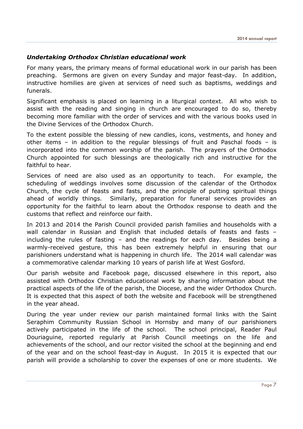# Undertaking Orthodox Christian educational work

For many years, the primary means of formal educational work in our parish has been preaching. Sermons are given on every Sunday and major feast-day. In addition, instructive homilies are given at services of need such as baptisms, weddings and funerals.

Significant emphasis is placed on learning in a liturgical context. All who wish to assist with the reading and singing in church are encouraged to do so, thereby becoming more familiar with the order of services and with the various books used in the Divine Services of the Orthodox Church.

To the extent possible the blessing of new candles, icons, vestments, and honey and other items – in addition to the regular blessings of fruit and Paschal foods – is incorporated into the common worship of the parish. The prayers of the Orthodox Church appointed for such blessings are theologically rich and instructive for the faithful to hear.

Services of need are also used as an opportunity to teach. For example, the scheduling of weddings involves some discussion of the calendar of the Orthodox Church, the cycle of feasts and fasts, and the principle of putting spiritual things ahead of worldly things. Similarly, preparation for funeral services provides an opportunity for the faithful to learn about the Orthodox response to death and the customs that reflect and reinforce our faith.

In 2013 and 2014 the Parish Council provided parish families and households with a wall calendar in Russian and English that included details of feasts and fasts – including the rules of fasting – and the readings for each day. Besides being a warmly-received gesture, this has been extremely helpful in ensuring that our parishioners understand what is happening in church life. The 2014 wall calendar was a commemorative calendar marking 10 years of parish life at West Gosford.

Our parish website and Facebook page, discussed elsewhere in this report, also assisted with Orthodox Christian educational work by sharing information about the practical aspects of the life of the parish, the Diocese, and the wider Orthodox Church. It is expected that this aspect of both the website and Facebook will be strengthened in the year ahead.

During the year under review our parish maintained formal links with the Saint Seraphim Community Russian School in Hornsby and many of our parishioners actively participated in the life of the school. The school principal, Reader Paul Douriaguine, reported regularly at Parish Council meetings on the life and achievements of the school, and our rector visited the school at the beginning and end of the year and on the school feast-day in August. In 2015 it is expected that our parish will provide a scholarship to cover the expenses of one or more students. We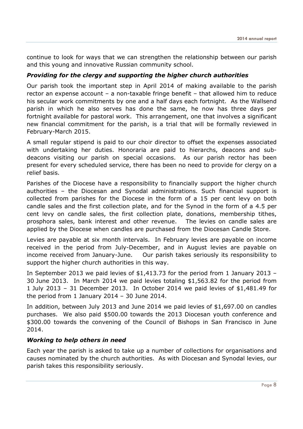continue to look for ways that we can strengthen the relationship between our parish and this young and innovative Russian community school.

# Providing for the clergy and supporting the higher church authorities

Our parish took the important step in April 2014 of making available to the parish rector an expense account – a non-taxable fringe benefit – that allowed him to reduce his secular work commitments by one and a half days each fortnight. As the Wallsend parish in which he also serves has done the same, he now has three days per fortnight available for pastoral work. This arrangement, one that involves a significant new financial commitment for the parish, is a trial that will be formally reviewed in February-March 2015.

A small regular stipend is paid to our choir director to offset the expenses associated with undertaking her duties. Honoraria are paid to hierarchs, deacons and subdeacons visiting our parish on special occasions. As our parish rector has been present for every scheduled service, there has been no need to provide for clergy on a relief basis.

Parishes of the Diocese have a responsibility to financially support the higher church authorities – the Diocesan and Synodal administrations. Such financial support is collected from parishes for the Diocese in the form of a 15 per cent levy on both candle sales and the first collection plate, and for the Synod in the form of a 4.5 per cent levy on candle sales, the first collection plate, donations, membership tithes, prosphora sales, bank interest and other revenue. The levies on candle sales are applied by the Diocese when candles are purchased from the Diocesan Candle Store.

Levies are payable at six month intervals. In February levies are payable on income received in the period from July-December, and in August levies are payable on income received from January-June. Our parish takes seriously its responsibility to support the higher church authorities in this way.

In September 2013 we paid levies of \$1,413.73 for the period from 1 January 2013 – 30 June 2013. In March 2014 we paid levies totaling \$1,563.82 for the period from 1 July 2013 – 31 December 2013. In October 2014 we paid levies of \$1,481.49 for the period from 1 January 2014 – 30 June 2014.

In addition, between July 2013 and June 2014 we paid levies of \$1,697.00 on candles purchases. We also paid \$500.00 towards the 2013 Diocesan youth conference and \$300.00 towards the convening of the Council of Bishops in San Francisco in June 2014.

# Working to help others in need

Each year the parish is asked to take up a number of collections for organisations and causes nominated by the church authorities. As with Diocesan and Synodal levies, our parish takes this responsibility seriously.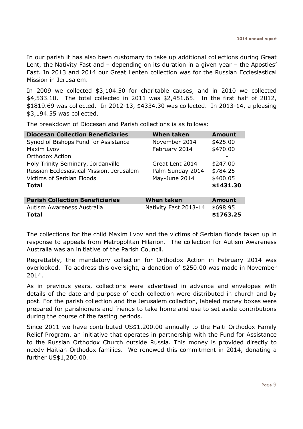In our parish it has also been customary to take up additional collections during Great Lent, the Nativity Fast and – depending on its duration in a given year – the Apostles' Fast. In 2013 and 2014 our Great Lenten collection was for the Russian Ecclesiastical Mission in Jerusalem.

In 2009 we collected \$3,104.50 for charitable causes, and in 2010 we collected \$4,533.10. The total collected in 2011 was \$2,451.65. In the first half of 2012, \$1819.69 was collected. In 2012-13, \$4334.30 was collected. In 2013-14, a pleasing \$3,194.55 was collected.

The breakdown of Diocesan and Parish collections is as follows:

| <b>Diocesan Collection Beneficiaries</b>  | <b>When taken</b>     | <b>Amount</b> |
|-------------------------------------------|-----------------------|---------------|
| Synod of Bishops Fund for Assistance      | November 2014         | \$425.00      |
| Maxim Lyov                                | February 2014         | \$470.00      |
| Orthodox Action                           |                       |               |
| Holy Trinity Seminary, Jordanville        | Great Lent 2014       | \$247.00      |
| Russian Ecclesiastical Mission, Jerusalem | Palm Sunday 2014      | \$784.25      |
| Victims of Serbian Floods                 | May-June 2014         | \$400.05      |
| Total                                     |                       | \$1431.30     |
|                                           |                       |               |
| <b>Parish Collection Beneficiaries</b>    | <b>When taken</b>     | <b>Amount</b> |
| Autism Awareness Australia                | Nativity Fast 2013-14 | \$698.95      |
| <b>Total</b>                              |                       | \$1763.25     |

The collections for the child Maxim Lvov and the victims of Serbian floods taken up in response to appeals from Metropolitan Hilarion. The collection for Autism Awareness Australia was an initiative of the Parish Council.

Regrettably, the mandatory collection for Orthodox Action in February 2014 was overlooked. To address this oversight, a donation of \$250.00 was made in November 2014.

As in previous years, collections were advertised in advance and envelopes with details of the date and purpose of each collection were distributed in church and by post. For the parish collection and the Jerusalem collection, labeled money boxes were prepared for parishioners and friends to take home and use to set aside contributions during the course of the fasting periods.

Since 2011 we have contributed US\$1,200.00 annually to the Haiti Orthodox Family Relief Program, an initiative that operates in partnership with the Fund for Assistance to the Russian Orthodox Church outside Russia. This money is provided directly to needy Haitian Orthodox families. We renewed this commitment in 2014, donating a further US\$1,200.00.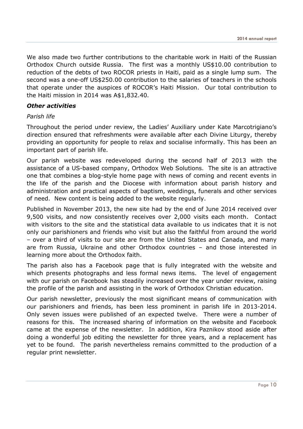We also made two further contributions to the charitable work in Haiti of the Russian Orthodox Church outside Russia. The first was a monthly US\$10.00 contribution to reduction of the debts of two ROCOR priests in Haiti, paid as a single lump sum. The second was a one-off US\$250.00 contribution to the salaries of teachers in the schools that operate under the auspices of ROCOR's Haiti Mission. Our total contribution to the Haiti mission in 2014 was A\$1,832.40.

### Other activities

#### Parish life

Throughout the period under review, the Ladies' Auxiliary under Kate Marcotrigiano's direction ensured that refreshments were available after each Divine Liturgy, thereby providing an opportunity for people to relax and socialise informally. This has been an important part of parish life.

Our parish website was redeveloped during the second half of 2013 with the assistance of a US-based company, Orthodox Web Solutions. The site is an attractive one that combines a blog-style home page with news of coming and recent events in the life of the parish and the Diocese with information about parish history and administration and practical aspects of baptism, weddings, funerals and other services of need. New content is being added to the website regularly.

Published in November 2013, the new site had by the end of June 2014 received over 9,500 visits, and now consistently receives over 2,000 visits each month. Contact with visitors to the site and the statistical data available to us indicates that it is not only our parishioners and friends who visit but also the faithful from around the world – over a third of visits to our site are from the United States and Canada, and many are from Russia, Ukraine and other Orthodox countries – and those interested in learning more about the Orthodox faith.

The parish also has a Facebook page that is fully integrated with the website and which presents photographs and less formal news items. The level of engagement with our parish on Facebook has steadily increased over the year under review, raising the profile of the parish and assisting in the work of Orthodox Christian education.

Our parish newsletter, previously the most significant means of communication with our parishioners and friends, has been less prominent in parish life in 2013-2014. Only seven issues were published of an expected twelve. There were a number of reasons for this. The increased sharing of information on the website and Facebook came at the expense of the newsletter. In addition, Kira Paznikov stood aside after doing a wonderful job editing the newsletter for three years, and a replacement has yet to be found. The parish nevertheless remains committed to the production of a regular print newsletter.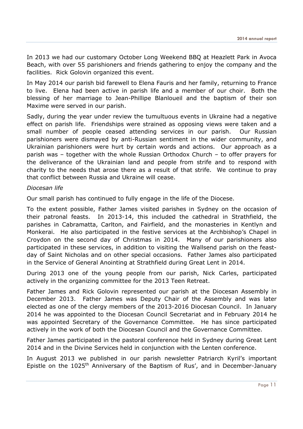In 2013 we had our customary October Long Weekend BBQ at Heazlett Park in Avoca Beach, with over 55 parishioners and friends gathering to enjoy the company and the facilities. Rick Golovin organized this event.

In May 2014 our parish bid farewell to Elena Fauris and her family, returning to France to live. Elena had been active in parish life and a member of our choir. Both the blessing of her marriage to Jean-Phillipe Blanloueil and the baptism of their son Maxime were served in our parish.

Sadly, during the year under review the tumultuous events in Ukraine had a negative effect on parish life. Friendships were strained as opposing views were taken and a small number of people ceased attending services in our parish. Our Russian parishioners were dismayed by anti-Russian sentiment in the wider community, and Ukrainian parishioners were hurt by certain words and actions. Our approach as a parish was – together with the whole Russian Orthodox Church – to offer prayers for the deliverance of the Ukrainian land and people from strife and to respond with charity to the needs that arose there as a result of that strife. We continue to pray that conflict between Russia and Ukraine will cease.

### Diocesan life

Our small parish has continued to fully engage in the life of the Diocese.

To the extent possible, Father James visited parishes in Sydney on the occasion of their patronal feasts. In 2013-14, this included the cathedral in Strathfield, the parishes in Cabramatta, Carlton, and Fairfield, and the monasteries in Kentlyn and Monkerai. He also participated in the festive services at the Archbishop's Chapel in Croydon on the second day of Christmas in 2014. Many of our parishioners also participated in these services, in addition to visiting the Wallsend parish on the feastday of Saint Nicholas and on other special occasions. Father James also participated in the Service of General Anointing at Strathfield during Great Lent in 2014.

During 2013 one of the young people from our parish, Nick Carles, participated actively in the organizing committee for the 2013 Teen Retreat.

Father James and Rick Golovin represented our parish at the Diocesan Assembly in December 2013. Father James was Deputy Chair of the Assembly and was later elected as one of the clergy members of the 2013-2016 Diocesan Council. In January 2014 he was appointed to the Diocesan Council Secretariat and in February 2014 he was appointed Secretary of the Governance Committee. He has since participated actively in the work of both the Diocesan Council and the Governance Committee.

Father James participated in the pastoral conference held in Sydney during Great Lent 2014 and in the Divine Services held in conjunction with the Lenten conference.

In August 2013 we published in our parish newsletter Patriarch Kyril's important Epistle on the 1025<sup>th</sup> Anniversary of the Baptism of Rus', and in December-January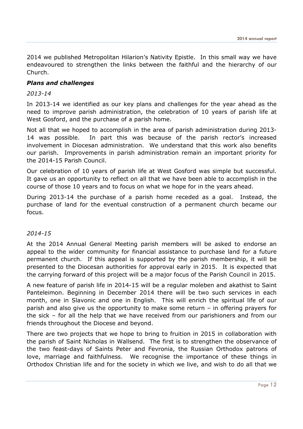2014 we published Metropolitan Hilarion's Nativity Epistle. In this small way we have endeavoured to strengthen the links between the faithful and the hierarchy of our Church.

# Plans and challenges

### 2013-14

In 2013-14 we identified as our key plans and challenges for the year ahead as the need to improve parish administration, the celebration of 10 years of parish life at West Gosford, and the purchase of a parish home.

Not all that we hoped to accomplish in the area of parish administration during 2013- 14 was possible. In part this was because of the parish rector's increased involvement in Diocesan administration. We understand that this work also benefits our parish. Improvements in parish administration remain an important priority for the 2014-15 Parish Council.

Our celebration of 10 years of parish life at West Gosford was simple but successful. It gave us an opportunity to reflect on all that we have been able to accomplish in the course of those 10 years and to focus on what we hope for in the years ahead.

During 2013-14 the purchase of a parish home receded as a goal. Instead, the purchase of land for the eventual construction of a permanent church became our focus.

### 2014-15

At the 2014 Annual General Meeting parish members will be asked to endorse an appeal to the wider community for financial assistance to purchase land for a future permanent church. If this appeal is supported by the parish membership, it will be presented to the Diocesan authorities for approval early in 2015. It is expected that the carrying forward of this project will be a major focus of the Parish Council in 2015.

A new feature of parish life in 2014-15 will be a regular moleben and akathist to Saint Panteleimon. Beginning in December 2014 there will be two such services in each month, one in Slavonic and one in English. This will enrich the spiritual life of our parish and also give us the opportunity to make some return – in offering prayers for the sick – for all the help that we have received from our parishioners and from our friends throughout the Diocese and beyond.

There are two projects that we hope to bring to fruition in 2015 in collaboration with the parish of Saint Nicholas in Wallsend. The first is to strengthen the observance of the two feast-days of Saints Peter and Fevronia, the Russian Orthodox patrons of love, marriage and faithfulness. We recognise the importance of these things in Orthodox Christian life and for the society in which we live, and wish to do all that we